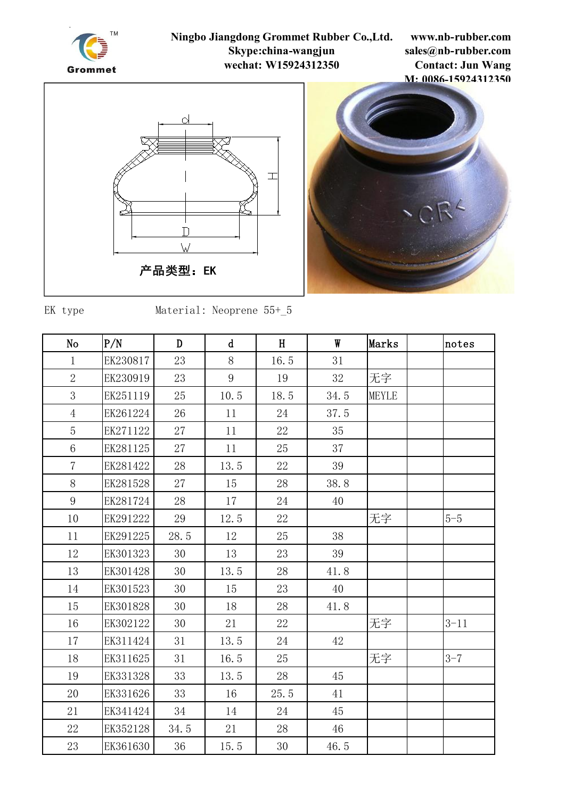

**www.nb-rubber.com sales@nb-rubber.com Contact: Jun Wang M: 0086-15924312350**





EK type Material: Neoprene  $55+_{5}5$ 

| N <sub>o</sub>  | P/N      | D    | $\mathsf{d}$ | H    | W    | Marks        | notes    |
|-----------------|----------|------|--------------|------|------|--------------|----------|
| $\mathbf{1}$    | EK230817 | 23   | 8            | 16.5 | 31   |              |          |
| $\overline{2}$  | EK230919 | 23   | 9            | 19   | 32   | 无字           |          |
| 3               | EK251119 | 25   | 10.5         | 18.5 | 34.5 | <b>MEYLE</b> |          |
| $\overline{4}$  | EK261224 | 26   | 11           | 24   | 37.5 |              |          |
| $\overline{5}$  | EK271122 | 27   | 11           | 22   | 35   |              |          |
| $6\phantom{.}6$ | EK281125 | 27   | 11           | 25   | 37   |              |          |
| $\overline{7}$  | EK281422 | 28   | 13.5         | 22   | 39   |              |          |
| 8               | EK281528 | 27   | 15           | 28   | 38.8 |              |          |
| 9               | EK281724 | 28   | 17           | 24   | 40   |              |          |
| 10              | EK291222 | 29   | 12.5         | 22   |      | 无字           | $5-5$    |
| 11              | EK291225 | 28.5 | 12           | 25   | 38   |              |          |
| 12              | EK301323 | 30   | 13           | 23   | 39   |              |          |
| 13              | EK301428 | 30   | 13.5         | 28   | 41.8 |              |          |
| 14              | EK301523 | 30   | 15           | 23   | 40   |              |          |
| 15              | EK301828 | 30   | 18           | 28   | 41.8 |              |          |
| 16              | EK302122 | 30   | 21           | 22   |      | 无字           | $3 - 11$ |
| 17              | EK311424 | 31   | 13.5         | 24   | 42   |              |          |
| 18              | EK311625 | 31   | 16.5         | 25   |      | 无字           | $3 - 7$  |
| 19              | EK331328 | 33   | 13.5         | 28   | 45   |              |          |
| 20              | EK331626 | 33   | 16           | 25.5 | 41   |              |          |
| 21              | EK341424 | 34   | 14           | 24   | 45   |              |          |
| 22              | EK352128 | 34.5 | 21           | 28   | 46   |              |          |
| 23              | EK361630 | 36   | 15.5         | 30   | 46.5 |              |          |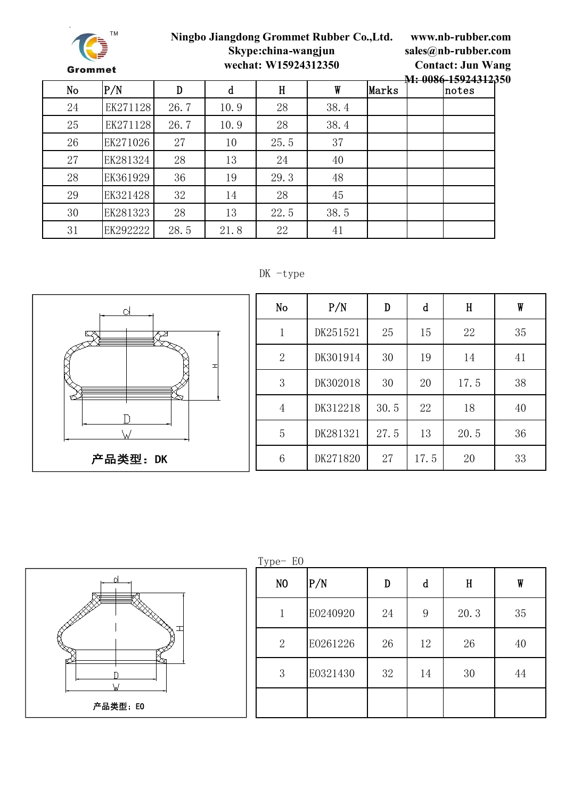

**www.nb-rubber.com sales@nb-rubber.com Contact: Jun Wang**

|    |          |      |      |      |      |       | M: 0086-15924312350 |
|----|----------|------|------|------|------|-------|---------------------|
| No | P/N      | D    | d    | H    | W    | Marks | notes               |
| 24 | EK271128 | 26.7 | 10.9 | 28   | 38.4 |       |                     |
| 25 | EK271128 | 26.7 | 10.9 | 28   | 38.4 |       |                     |
| 26 | EK271026 | 27   | 10   | 25.5 | 37   |       |                     |
| 27 | EK281324 | 28   | 13   | 24   | 40   |       |                     |
| 28 | EK361929 | 36   | 19   | 29.3 | 48   |       |                     |
| 29 | EK321428 | 32   | 14   | 28   | 45   |       |                     |
| 30 | EK281323 | 28   | 13   | 22.5 | 38.5 |       |                     |
| 31 | EK292222 | 28.5 | 21.8 | 22   | 41   |       |                     |

#### DK -type



| No             | P/N      | D    | d    | H    | W  |
|----------------|----------|------|------|------|----|
| 1              | DK251521 | 25   | 15   | 22   | 35 |
| $\mathbf{2}$   | DK301914 | 30   | 19   | 14   | 41 |
| 3              | DK302018 | 30   | 20   | 17.5 | 38 |
| $\overline{4}$ | DK312218 | 30.5 | 22   | 18   | 40 |
| $\overline{5}$ | DK281321 | 27.5 | 13   | 20.5 | 36 |
| 6              | DK271820 | 27   | 17.5 | 20   | 33 |



| Type-E0        |          |    |    |      |    |
|----------------|----------|----|----|------|----|
| N <sub>0</sub> | P/N      | D  | d  | H    | W  |
| 1              | E0240920 | 24 | 9  | 20.3 | 35 |
| $\mathbf{2}$   | E0261226 | 26 | 12 | 26   | 40 |
| 3              | E0321430 | 32 | 14 | 30   | 44 |
|                |          |    |    |      |    |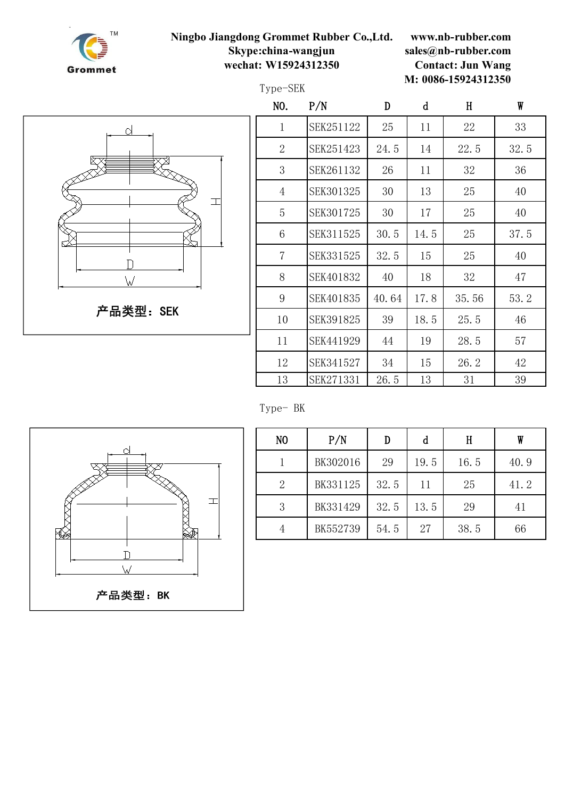

Type-SEK

**www.nb-rubber.com sales@nb-rubber.com Contact: Jun Wang M: 0086-15924312350**



| NO.             | P/N       | D     | d    | H     | W    |  |
|-----------------|-----------|-------|------|-------|------|--|
| $\mathbf 1$     | SEK251122 | 25    | 11   | 22    | 33   |  |
| $\overline{2}$  | SEK251423 | 24.5  | 14   | 22.5  | 32.5 |  |
| 3               | SEK261132 | 26    | 11   | 32    | 36   |  |
| $\overline{4}$  | SEK301325 | 30    | 13   | 25    | 40   |  |
| 5               | SEK301725 | 30    | 17   | 25    | 40   |  |
| $6\phantom{1}6$ | SEK311525 | 30.5  | 14.5 | 25    | 37.5 |  |
| $\overline{7}$  | SEK331525 | 32.5  | 15   | 25    | 40   |  |
| 8               | SEK401832 | 40    | 18   | 32    | 47   |  |
| 9               | SEK401835 | 40.64 | 17.8 | 35.56 | 53.2 |  |
| 10              | SEK391825 | 39    | 18.5 | 25.5  | 46   |  |
| 11              | SEK441929 | 44    | 19   | 28.5  | 57   |  |
| 12              | SEK341527 | 34    | 15   | 26.2  | 42   |  |
| 13              | SEK271331 | 26.5  | 13   | 31    | 39   |  |

Type- BK



| N <sub>0</sub> | P/N      |      | d    | H    | W    |  |
|----------------|----------|------|------|------|------|--|
|                | BK302016 | 29   | 19.5 | 16.5 | 40.9 |  |
| 2              | BK331125 | 32.5 | 11   | 25   | 41.2 |  |
| 3              | BK331429 | 32.5 | 13.5 | 29   | 41   |  |
| 4              | BK552739 | 54.5 | 27   | 38.5 | 66   |  |